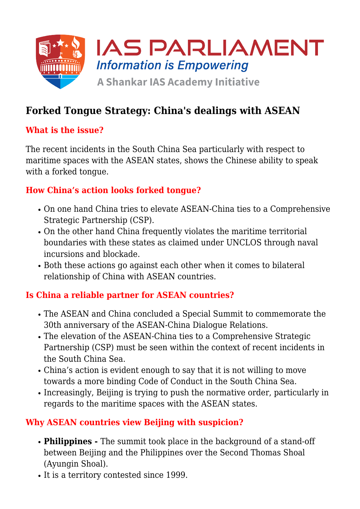

# **Forked Tongue Strategy: China's dealings with ASEAN**

### **What is the issue?**

The recent incidents in the South China Sea particularly with respect to maritime spaces with the ASEAN states, shows the Chinese ability to speak with a forked tongue.

### **How China's action looks forked tongue?**

- On one hand China tries to elevate ASEAN-China ties to a Comprehensive Strategic Partnership (CSP).
- On the other hand China frequently violates the maritime territorial boundaries with these states as claimed under UNCLOS through naval incursions and blockade.
- Both these actions go against each other when it comes to bilateral relationship of China with ASEAN countries.

## **Is China a reliable partner for ASEAN countries?**

- The ASEAN and China concluded a Special Summit to commemorate the 30th anniversary of the ASEAN-China Dialogue Relations.
- The elevation of the ASEAN-China ties to a Comprehensive Strategic Partnership (CSP) must be seen within the context of recent incidents in the South China Sea.
- China's action is evident enough to say that it is not willing to move towards a more binding Code of Conduct in the South China Sea.
- Increasingly, Beijing is trying to push the normative order, particularly in regards to the maritime spaces with the ASEAN states.

#### **Why ASEAN countries view Beijing with suspicion?**

- **Philippines** The summit took place in the background of a stand-off between Beijing and the Philippines over the Second Thomas Shoal (Ayungin Shoal).
- It is a territory contested since 1999.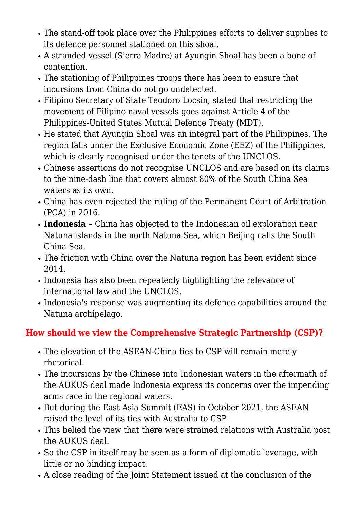- The stand-off took place over the Philippines efforts to deliver supplies to its defence personnel stationed on this shoal.
- A stranded vessel (Sierra Madre) at Ayungin Shoal has been a bone of contention.
- The stationing of Philippines troops there has been to ensure that incursions from China do not go undetected.
- Filipino Secretary of State Teodoro Locsin, stated that restricting the movement of Filipino naval vessels goes against Article 4 of the Philippines-United States Mutual Defence Treaty (MDT).
- He stated that Ayungin Shoal was an integral part of the Philippines. The region falls under the Exclusive Economic Zone (EEZ) of the Philippines, which is clearly recognised under the tenets of the UNCLOS.
- Chinese assertions do not recognise UNCLOS and are based on its claims to the nine-dash line that covers almost 80% of the South China Sea waters as its own.
- China has even rejected the ruling of the Permanent Court of Arbitration (PCA) in 2016.
- **Indonesia** China has objected to the Indonesian oil exploration near Natuna islands in the north Natuna Sea, which Beijing calls the South China Sea.
- The friction with China over the Natuna region has been evident since 2014.
- Indonesia has also been repeatedly highlighting the relevance of international law and the UNCLOS.
- Indonesia's response was augmenting its defence capabilities around the Natuna archipelago.

## **How should we view the Comprehensive Strategic Partnership (CSP)?**

- The elevation of the ASEAN-China ties to CSP will remain merely rhetorical.
- The incursions by the Chinese into Indonesian waters in the aftermath of the AUKUS deal made Indonesia express its concerns over the impending arms race in the regional waters.
- But during the East Asia Summit (EAS) in October 2021, the ASEAN raised the level of its ties with Australia to CSP
- This belied the view that there were strained relations with Australia post the AUKUS deal.
- So the CSP in itself may be seen as a form of diplomatic leverage, with little or no binding impact.
- A close reading of the Joint Statement issued at the conclusion of the